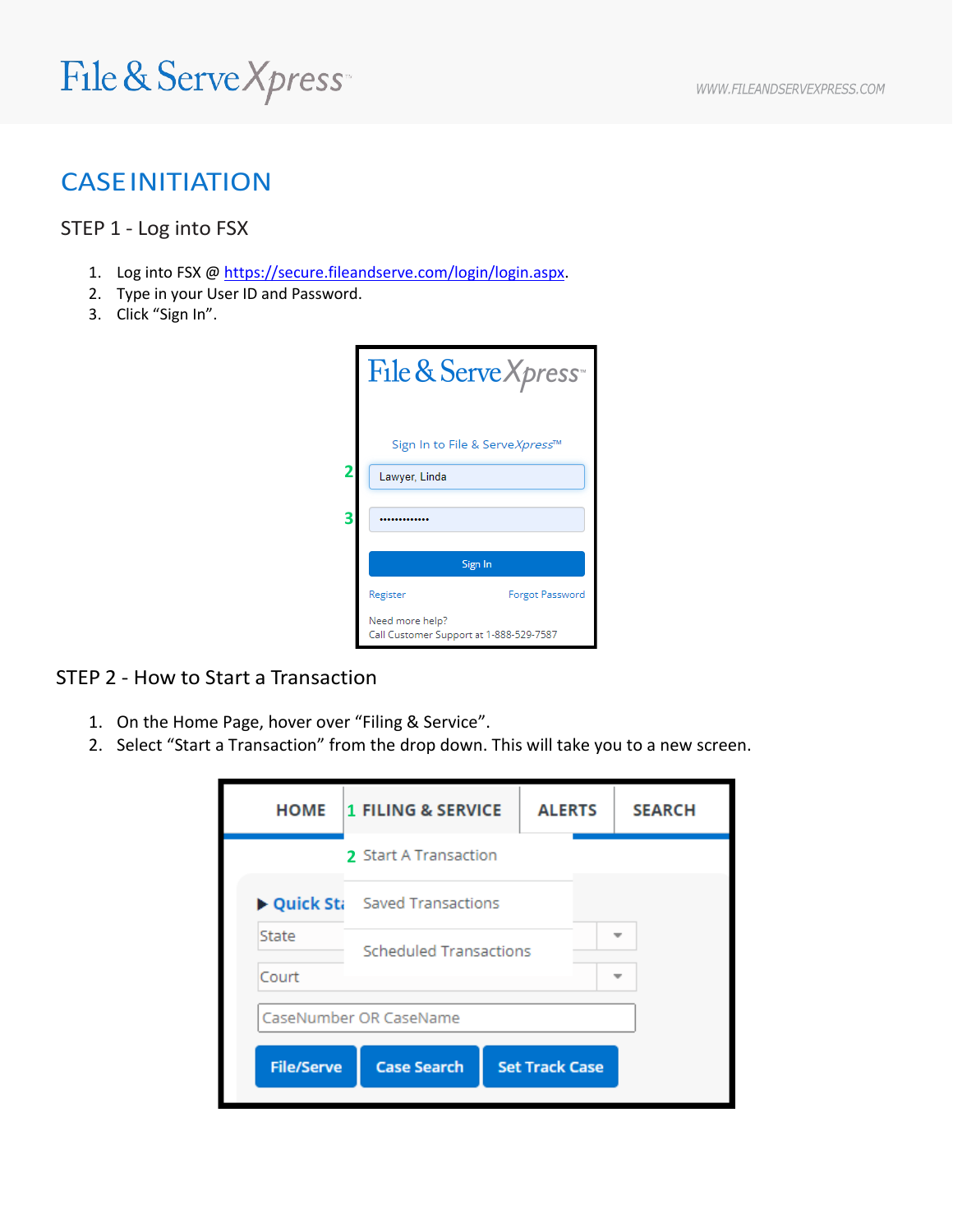# File & Serve Xpress

## **CASE INITIATION**

### STEP 1 - Log into FSX

- 1. Log into FSX @ [https://secure.fileandserve.com/login/login.aspx.](https://secure.fileandserve.com/login/login.aspx)
- 2. Type in your User ID and Password.
- 3. Click "Sign In".

|                         |                                                            | File & Serve Xpress             |
|-------------------------|------------------------------------------------------------|---------------------------------|
|                         |                                                            | Sign In to File & Serve Xpress™ |
| $\overline{\mathbf{2}}$ | Lawyer, Linda                                              |                                 |
| 3                       |                                                            |                                 |
|                         |                                                            | Sign In                         |
|                         | Register                                                   | Forgot Password                 |
|                         | Need more help?<br>Call Customer Support at 1-888-529-7587 |                                 |

### STEP 2 - How to Start a Transaction

- 1. On the Home Page, hover over "Filing & Service".
- 2. Select "Start a Transaction" from the drop down. This will take you to a new screen.

|                   | <b>HOME</b> 1 FILING & SERVICE  | <b>ALERTS</b>                       |  | <b>SEARCH</b> |  |  |  |  |  |
|-------------------|---------------------------------|-------------------------------------|--|---------------|--|--|--|--|--|
|                   | 2 Start A Transaction           |                                     |  |               |  |  |  |  |  |
|                   |                                 | <b>Quick St:</b> Saved Transactions |  |               |  |  |  |  |  |
| State             | Scheduled Transactions<br>Court |                                     |  |               |  |  |  |  |  |
|                   |                                 |                                     |  |               |  |  |  |  |  |
|                   | CaseNumber OR CaseName          |                                     |  |               |  |  |  |  |  |
| <b>File/Serve</b> | <b>Case Search</b>              | <b>Set Track Case</b>               |  |               |  |  |  |  |  |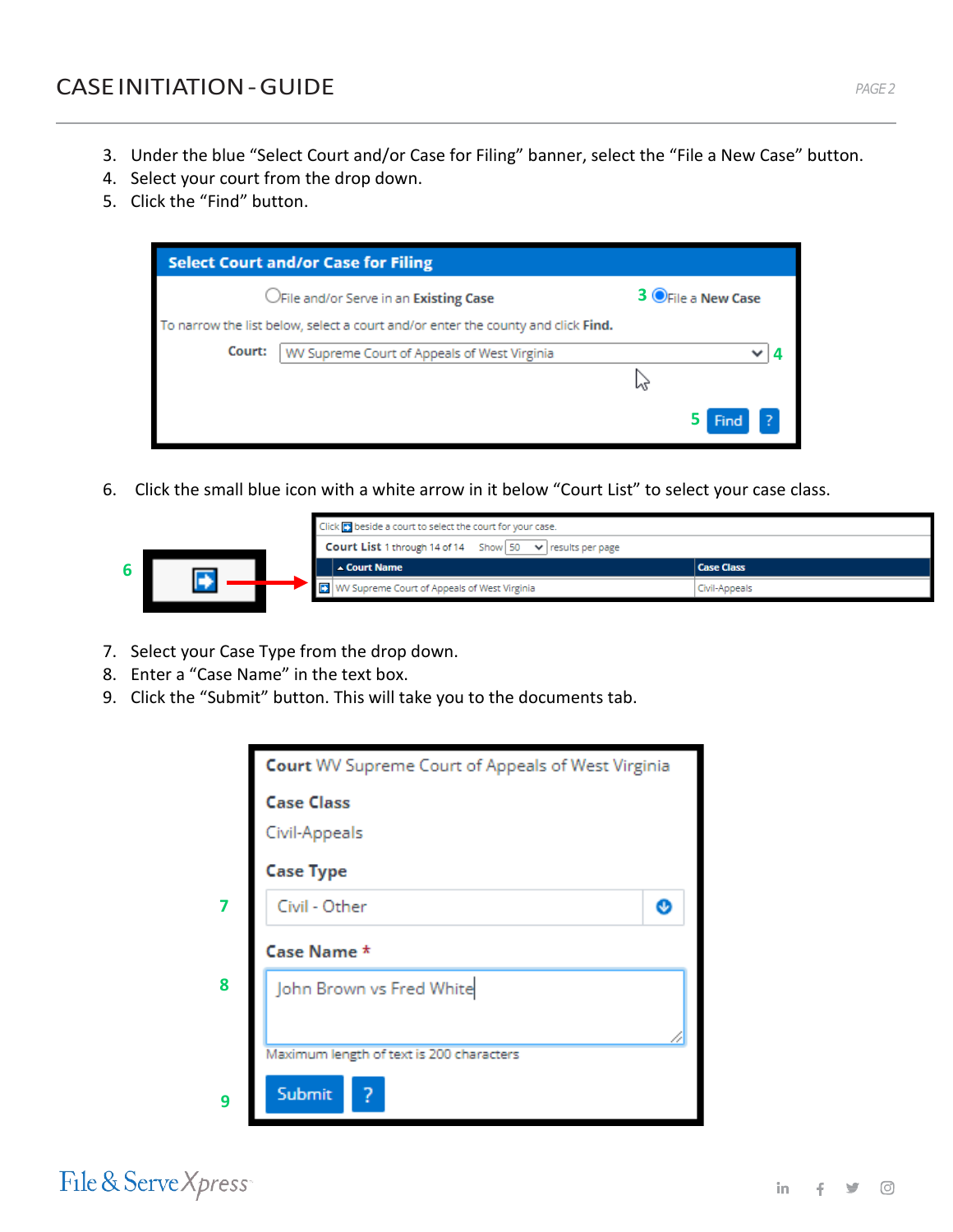- 3. Under the blue "Select Court and/or Case for Filing" banner, select the "File a New Case" button.
- 4. Select your court from the drop down.
- 5. Click the "Find" button.

|        | <b>Select Court and/or Case for Filing</b>                                               |                    |  |
|--------|------------------------------------------------------------------------------------------|--------------------|--|
|        | OFile and/or Serve in an Existing Case                                                   | 3 OFile a New Case |  |
|        | To narrow the list below, select a court and/or enter the county and click F <b>ind.</b> |                    |  |
| Court: | WV Supreme Court of Appeals of West Virginia                                             | $\check{ }$        |  |
|        |                                                                                          |                    |  |
|        |                                                                                          | Find               |  |

6. Click the small blue icon with a white arrow in it below "Court List" to select your case class.



- 7. Select your Case Type from the drop down.
- 8. Enter a "Case Name" in the text box.
- 9. Click the "Submit" button. This will take you to the documents tab.



File & Serve Xpress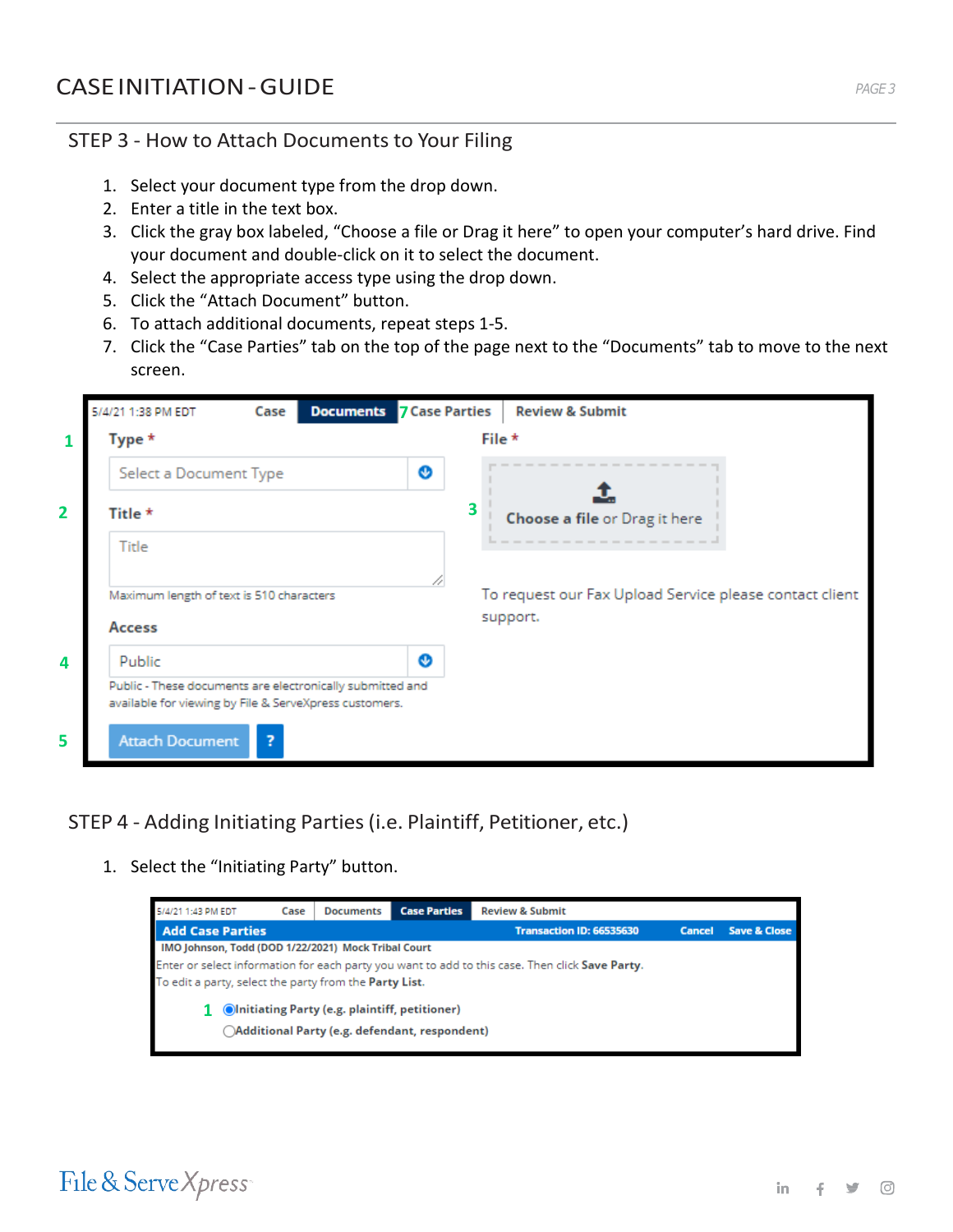### CASEINITIATION-GUIDE *PAGE <sup>3</sup>*

#### STEP 3 - How to Attach Documents to Your Filing

- 1. Select your document type from the drop down.
- 2. Enter a title in the text box.
- 3. Click the gray box labeled, "Choose a file or Drag it here" to open your computer's hard drive. Find your document and double-click on it to select the document.
- 4. Select the appropriate access type using the drop down.
- 5. Click the "Attach Document" button.
- 6. To attach additional documents, repeat steps 1-5.
- 7. Click the "Case Parties" tab on the top of the page next to the "Documents" tab to move to the next screen.

|                | <b>Documents</b> 7 Case Parties<br>5/4/21 1:38 PM EDT<br>Case                                                       |          | <b>Review &amp; Submit</b>                              |
|----------------|---------------------------------------------------------------------------------------------------------------------|----------|---------------------------------------------------------|
|                | Type $*$                                                                                                            | File $*$ |                                                         |
|                | Select a Document Type                                                                                              | ⊕        |                                                         |
| $\overline{2}$ | Title $\star$                                                                                                       | 3        | Choose a file or Drag it here                           |
|                | Title                                                                                                               |          |                                                         |
|                | Maximum length of text is 510 characters                                                                            |          | To request our Fax Upload Service please contact client |
|                | <b>Access</b>                                                                                                       |          | support.                                                |
| 4              | Public                                                                                                              | ◉        |                                                         |
|                | Public - These documents are electronically submitted and<br>available for viewing by File & ServeXpress customers. |          |                                                         |
| 5              | $\overline{\mathbf{r}}$<br><b>Attach Document</b>                                                                   |          |                                                         |

STEP 4 - Adding Initiating Parties(i.e. Plaintiff, Petitioner, etc.)

1. Select the "Initiating Party" button.



# File & Serve Xpress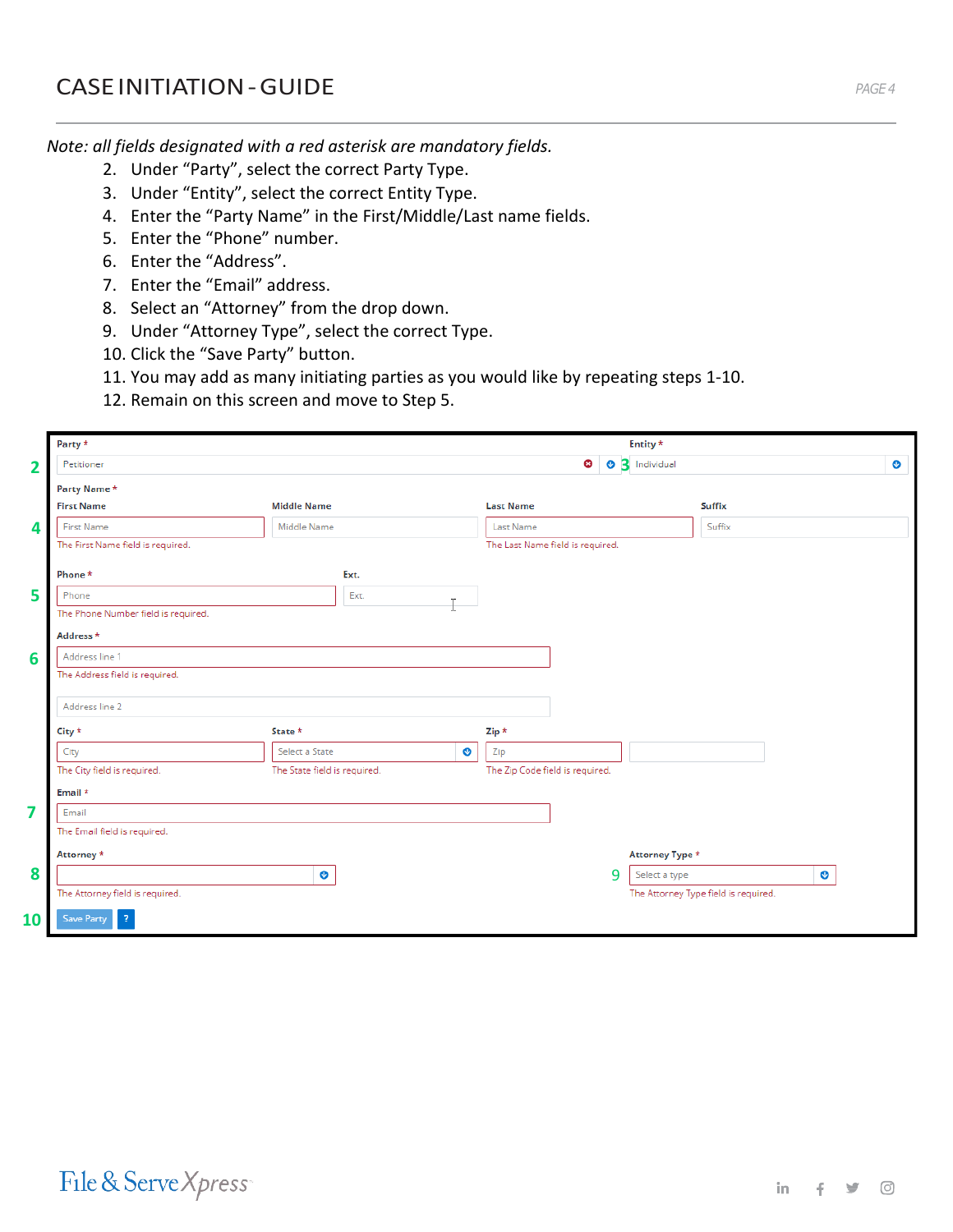*Note: all fields designated with a red asterisk are mandatory fields.*

- 2. Under "Party", select the correct Party Type.
- 3. Under "Entity", select the correct Entity Type.
- 4. Enter the "Party Name" in the First/Middle/Last name fields.
- 5. Enter the "Phone" number.
- 6. Enter the "Address".
- 7. Enter the "Email" address.
- 8. Select an "Attorney" from the drop down.
- 9. Under "Attorney Type", select the correct Type.
- 10. Click the "Save Party" button.
- 11. You may add as many initiating parties as you would like by repeating steps 1-10.
- 12. Remain on this screen and move to Step 5.

| Party *                             |                              | Entity *   |                                  |                                      |                     |  |  |  |  |
|-------------------------------------|------------------------------|------------|----------------------------------|--------------------------------------|---------------------|--|--|--|--|
| Petitioner                          |                              |            | G                                | <sup>O</sup> 3 Individual            | $\bullet$           |  |  |  |  |
| Party Name *                        |                              |            |                                  |                                      |                     |  |  |  |  |
| <b>First Name</b>                   | <b>Middle Name</b>           |            | <b>Last Name</b>                 | <b>Suffix</b>                        |                     |  |  |  |  |
| <b>First Name</b><br>4              | Middle Name                  |            | Last Name                        | Suffix                               |                     |  |  |  |  |
| The First Name field is required.   |                              |            | The Last Name field is required. |                                      |                     |  |  |  |  |
| Phone *                             |                              | Ext.       |                                  |                                      |                     |  |  |  |  |
| Phone                               |                              | Ext.<br>77 |                                  |                                      |                     |  |  |  |  |
| The Phone Number field is required. |                              |            |                                  |                                      |                     |  |  |  |  |
| Address *                           |                              |            |                                  |                                      |                     |  |  |  |  |
| Address line 1                      |                              |            |                                  |                                      |                     |  |  |  |  |
| The Address field is required.      |                              |            |                                  |                                      |                     |  |  |  |  |
| Address line 2                      |                              |            |                                  |                                      |                     |  |  |  |  |
| City *                              | State *                      |            | Zip *                            |                                      |                     |  |  |  |  |
| City                                | Select a State               | $\bullet$  | Zip                              |                                      |                     |  |  |  |  |
| The City field is required.         | The State field is required. |            | The Zip Code field is required.  |                                      |                     |  |  |  |  |
| Email *                             |                              |            |                                  |                                      |                     |  |  |  |  |
| Email                               |                              |            |                                  |                                      |                     |  |  |  |  |
| The Email field is required.        |                              |            |                                  |                                      |                     |  |  |  |  |
| Attorney *                          |                              |            |                                  | Attorney Type *                      |                     |  |  |  |  |
|                                     | $\bullet$                    |            |                                  | $\overline{9}$<br>Select a type      | $\ddot{\textbf{c}}$ |  |  |  |  |
| The Attorney field is required.     |                              |            |                                  | The Attorney Type field is required. |                     |  |  |  |  |
| <b>Save Party</b><br>-2             |                              |            |                                  |                                      |                     |  |  |  |  |
| 10                                  |                              |            |                                  |                                      |                     |  |  |  |  |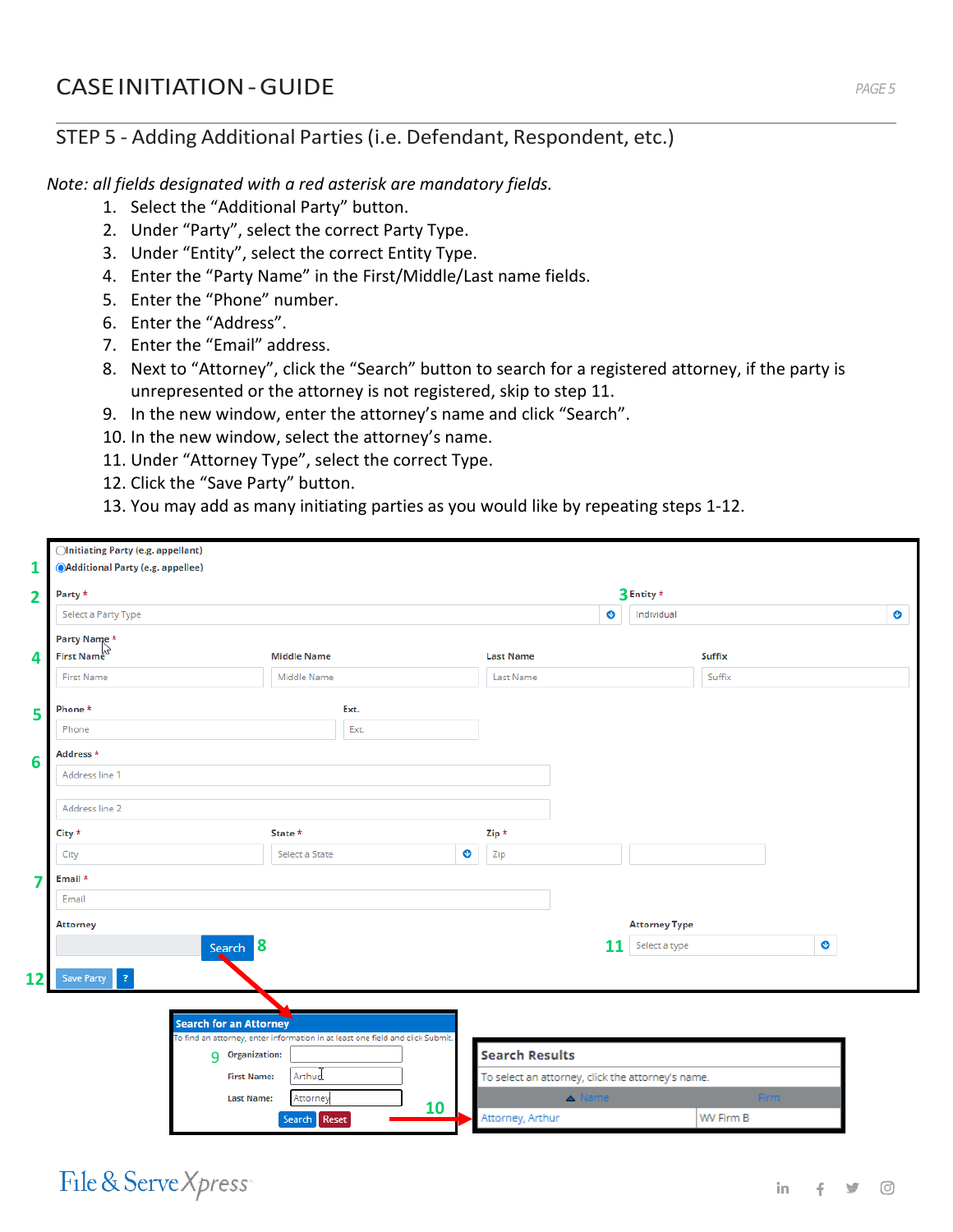### STEP 5 - Adding Additional Parties(i.e. Defendant, Respondent, etc.)

*Note: all fields designated with a red asterisk are mandatory fields.*

- 1. Select the "Additional Party" button.
- 2. Under "Party", select the correct Party Type.
- 3. Under "Entity", select the correct Entity Type.
- 4. Enter the "Party Name" in the First/Middle/Last name fields.
- 5. Enter the "Phone" number.
- 6. Enter the "Address".
- 7. Enter the "Email" address.
- 8. Next to "Attorney", click the "Search" button to search for a registered attorney, if the party is unrepresented or the attorney is not registered, skip to step 11.
- 9. In the new window, enter the attorney's name and click "Search".
- 10. In the new window, select the attorney's name.
- 11. Under "Attorney Type", select the correct Type.
- 12. Click the "Save Party" button.
- 13. You may add as many initiating parties as you would like by repeating steps 1-12.

|                         | ◯Initiating Party (e.g. appellant)       |                               |                    |                                                                                |                 |                                                   |                  |    |                      |               |           |  |
|-------------------------|------------------------------------------|-------------------------------|--------------------|--------------------------------------------------------------------------------|-----------------|---------------------------------------------------|------------------|----|----------------------|---------------|-----------|--|
| 1                       | <b>OAdditional Party (e.g. appellee)</b> |                               |                    |                                                                                |                 |                                                   |                  |    |                      |               |           |  |
| $\overline{\mathbf{2}}$ | Party *                                  |                               |                    |                                                                                |                 | 3Entity *                                         |                  |    |                      |               |           |  |
|                         | Select a Party Type                      |                               |                    |                                                                                | ◉<br>Individual |                                                   |                  |    |                      | $\bullet$     |           |  |
|                         | Party Name *                             |                               |                    |                                                                                |                 |                                                   |                  |    |                      |               |           |  |
| 4                       | First Name <sup>ts</sup>                 |                               | <b>Middle Name</b> |                                                                                |                 | <b>Last Name</b>                                  |                  |    |                      | <b>Suffix</b> |           |  |
|                         | <b>First Name</b>                        |                               | Middle Name        |                                                                                |                 | Last Name                                         |                  |    |                      | Suffix        |           |  |
| 5                       | Phone *                                  |                               |                    | Ext.                                                                           |                 |                                                   |                  |    |                      |               |           |  |
|                         | Phone                                    |                               |                    | Ext.                                                                           |                 |                                                   |                  |    |                      |               |           |  |
| 6                       | Address *                                |                               |                    |                                                                                |                 |                                                   |                  |    |                      |               |           |  |
|                         | Address line 1                           |                               |                    |                                                                                |                 |                                                   |                  |    |                      |               |           |  |
|                         | Address line 2                           |                               |                    |                                                                                |                 |                                                   |                  |    |                      |               |           |  |
|                         | City *                                   |                               | State *            |                                                                                |                 | Zip *                                             |                  |    |                      |               |           |  |
|                         | City                                     |                               | Select a State     |                                                                                | ◉               | Zip                                               |                  |    |                      |               |           |  |
| 7                       | Email *                                  |                               |                    |                                                                                |                 |                                                   |                  |    |                      |               |           |  |
|                         | Email                                    |                               |                    |                                                                                |                 |                                                   |                  |    |                      |               |           |  |
|                         | <b>Attorney</b>                          |                               |                    |                                                                                |                 |                                                   |                  |    | <b>Attorney Type</b> |               |           |  |
|                         |                                          | 8<br>Search                   |                    |                                                                                |                 |                                                   |                  | 11 | Select a type        |               | $\bullet$ |  |
|                         |                                          |                               |                    |                                                                                |                 |                                                   |                  |    |                      |               |           |  |
| 12                      | $\overline{?}$<br>Save Party             |                               |                    |                                                                                |                 |                                                   |                  |    |                      |               |           |  |
|                         |                                          |                               |                    |                                                                                |                 |                                                   |                  |    |                      |               |           |  |
|                         |                                          | <b>Search for an Attorney</b> |                    | To find an attorney, enter information in at least one field and click Submit. |                 |                                                   |                  |    |                      |               |           |  |
|                         |                                          | <b>g</b> Organization:        |                    |                                                                                |                 | <b>Search Results</b>                             |                  |    |                      |               |           |  |
|                         |                                          | <b>First Name:</b>            | Arthur             |                                                                                |                 | To select an attorney, click the attorney's name. |                  |    |                      |               |           |  |
|                         |                                          | <b>Last Name:</b>             | Attorney           |                                                                                |                 |                                                   | $\triangle$ Name |    |                      |               | Firm      |  |
|                         |                                          |                               | Reset<br>Search    | 10                                                                             |                 | Attorney, Arthur                                  |                  |    |                      | WV Firm B     |           |  |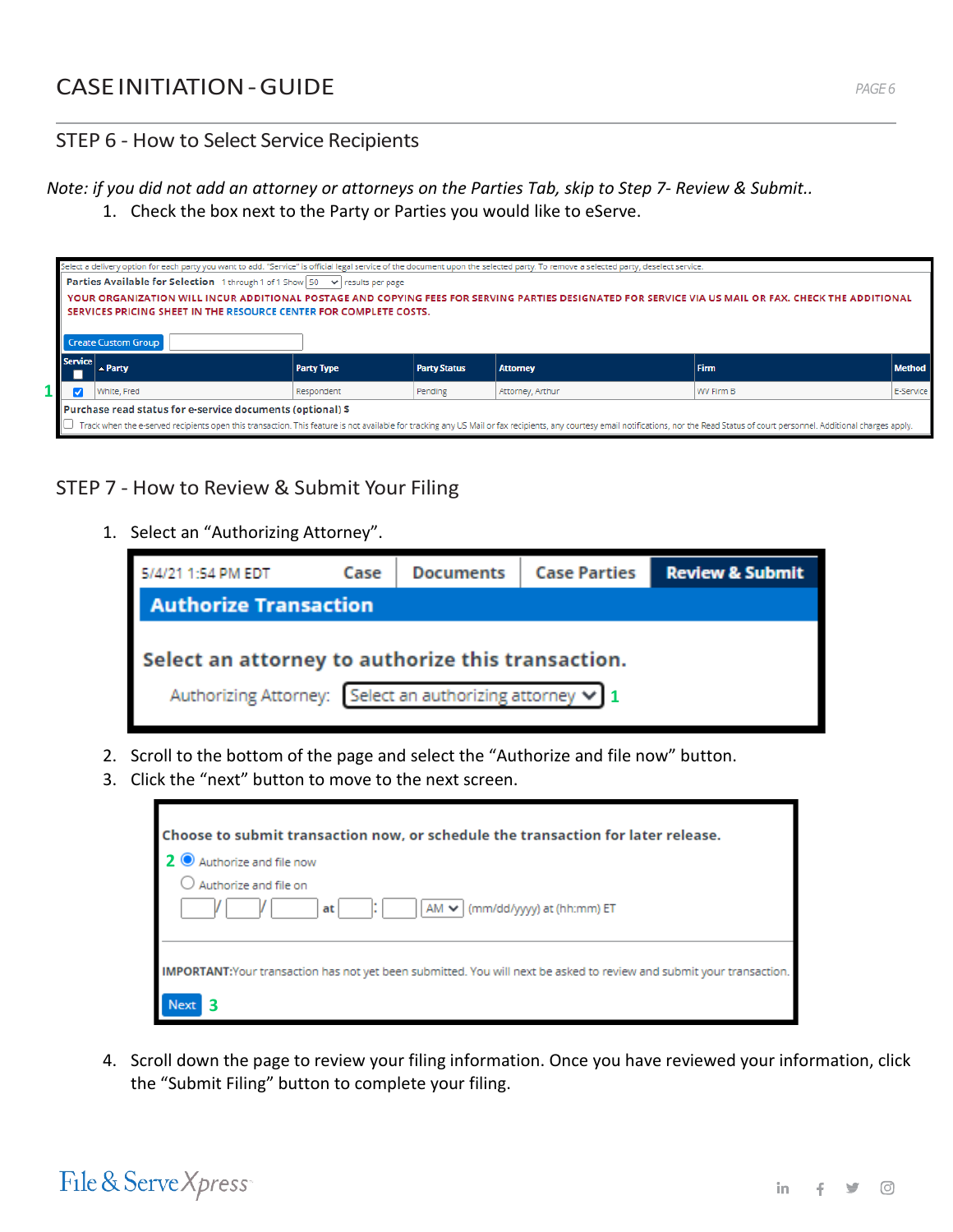### CASEINITIATION-GUIDE *PAGE <sup>6</sup>*

#### STEP 6 - How to Select Service Recipients

*Note: if you did not add an attorney or attorneys on the Parties Tab, skip to Step 7- Review & Submit..*

1. Check the box next to the Party or Parties you would like to eServe.

| Select a delivery option for each party you want to add. "Service" is official legal service of the document upon the selected party. To remove a selected party, deselect service.                                                                     |                                                                                                                  |            |         |                  |           |           |  |  |  |  |
|---------------------------------------------------------------------------------------------------------------------------------------------------------------------------------------------------------------------------------------------------------|------------------------------------------------------------------------------------------------------------------|------------|---------|------------------|-----------|-----------|--|--|--|--|
| <b>Parties Available for Selection</b> 1 through 1 of 1 Show $ 50 - \sqrt{\ } $ results per page                                                                                                                                                        |                                                                                                                  |            |         |                  |           |           |  |  |  |  |
| YOUR ORGANIZATION WILL INCUR ADDITIONAL POSTAGE AND COPYING FEES FOR SERVING PARTIES DESIGNATED FOR SERVICE VIA US MAIL OR FAX. CHECK THE ADDITIONAL<br>SERVICES PRICING SHEET IN THE RESOURCE CENTER FOR COMPLETE COSTS.<br><b>Create Custom Group</b> |                                                                                                                  |            |         |                  |           |           |  |  |  |  |
| <b>Service</b>                                                                                                                                                                                                                                          | <b>Method</b><br><b>Firm</b><br><b>Party Status</b><br><b>Party Type</b><br><b>Attorney</b><br>$\triangle$ Party |            |         |                  |           |           |  |  |  |  |
|                                                                                                                                                                                                                                                         | White, Fred                                                                                                      | Respondent | Pending | Attorney, Arthur | WV Firm B | E-Service |  |  |  |  |
|                                                                                                                                                                                                                                                         | Purchase read status for e-service documents (optional) \$                                                       |            |         |                  |           |           |  |  |  |  |
| Track when the e-served recipients open this transaction. This feature is not available for tracking any US Mail or fax recipients, any courtesy email notifications, nor the Read Status of court personnel. Additional charg                          |                                                                                                                  |            |         |                  |           |           |  |  |  |  |

### STEP 7 - How to Review & Submit Your Filing

1. Select an "Authorizing Attorney".

| 5/4/21 1:54 PM EDT                                                                                            | Case | <b>Case Parties</b> | <b>Review &amp; Submit</b> |  |  |  |  |  |  |  |
|---------------------------------------------------------------------------------------------------------------|------|---------------------|----------------------------|--|--|--|--|--|--|--|
| <b>Authorize Transaction</b>                                                                                  |      |                     |                            |  |  |  |  |  |  |  |
| Select an attorney to authorize this transaction.<br>Authorizing Attorney: Select an authorizing attorney v 1 |      |                     |                            |  |  |  |  |  |  |  |

- 2. Scroll to the bottom of the page and select the "Authorize and file now" button.
- 3. Click the "next" button to move to the next screen.



4. Scroll down the page to review your filing information. Once you have reviewed your information, click the "Submit Filing" button to complete your filing.